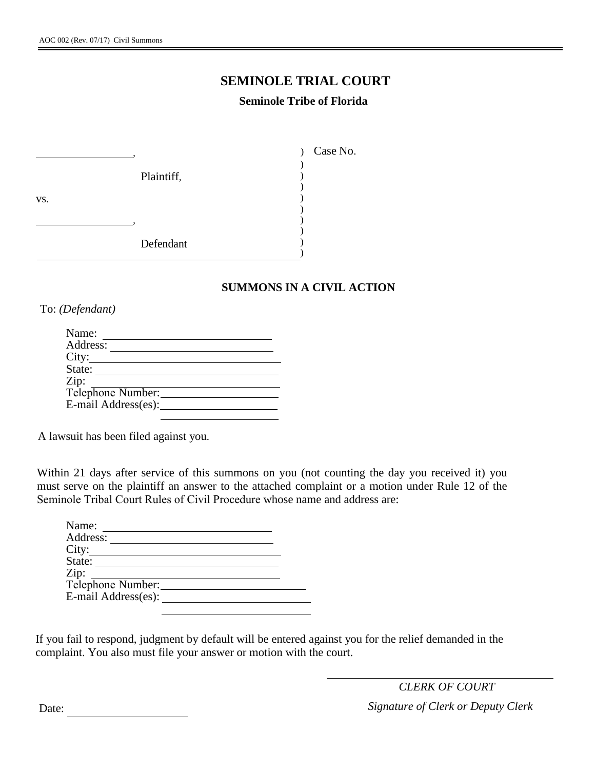## **SEMINOLE TRIAL COURT**

## **Seminole Tribe of Florida**

|     |            | Case No. |
|-----|------------|----------|
|     | Plaintiff, |          |
| VS. |            |          |
|     |            |          |
|     | Defendant  |          |

**SUMMONS IN A CIVIL ACTION**

To: *(Defendant)*

| Name:               |
|---------------------|
| Address:            |
| City:               |
| State:              |
| Zip:                |
| Telephone Number:   |
| E-mail Address(es): |

A lawsuit has been filed against you.

Within 21 days after service of this summons on you (not counting the day you received it) you must serve on the plaintiff an answer to the attached complaint or a motion under Rule 12 of the Seminole Tribal Court Rules of Civil Procedure whose name and address are:

| Name:               |  |
|---------------------|--|
| Address:            |  |
| City:               |  |
| State:              |  |
| Zip:                |  |
| Telephone Number:   |  |
| E-mail Address(es): |  |
|                     |  |

If you fail to respond, judgment by default will be entered against you for the relief demanded in the complaint. You also must file your answer or motion with the court.

*CLERK OF COURT* Date: *Signature of Clerk or Deputy Clerk*